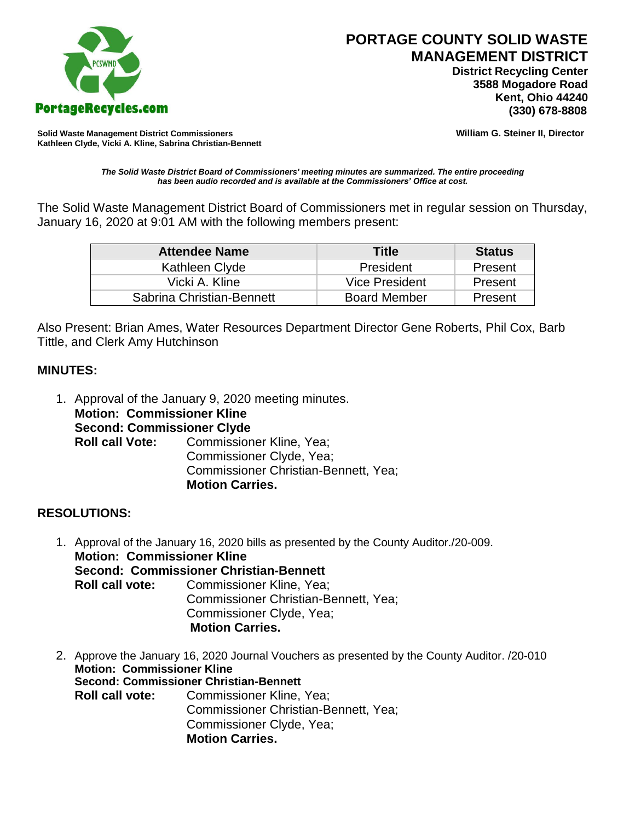

 **District Recycling Center 3588 Mogadore Road Kent, Ohio 44240**

**Solid Waste Management District Commissioners William G. Steiner II, Director Kathleen Clyde, Vicki A. Kline, Sabrina Christian-Bennett** 

*The Solid Waste District Board of Commissioners' meeting minutes are summarized. The entire proceeding has been audio recorded and is available at the Commissioners' Office at cost.*

The Solid Waste Management District Board of Commissioners met in regular session on Thursday, January 16, 2020 at 9:01 AM with the following members present:

| <b>Attendee Name</b>      | Title               | <b>Status</b> |
|---------------------------|---------------------|---------------|
| Kathleen Clyde            | President           | Present       |
| Vicki A. Kline            | Vice President      | Present       |
| Sabrina Christian-Bennett | <b>Board Member</b> | Present       |

Also Present: Brian Ames, Water Resources Department Director Gene Roberts, Phil Cox, Barb Tittle, and Clerk Amy Hutchinson

## **MINUTES:**

1. Approval of the January 9, 2020 meeting minutes. **Motion: Commissioner Kline Second: Commissioner Clyde Roll call Vote:** Commissioner Kline, Yea; Commissioner Clyde, Yea; Commissioner Christian-Bennett, Yea; **Motion Carries.**

## **RESOLUTIONS:**

- 1. Approval of the January 16, 2020 bills as presented by the County Auditor./20-009. **Motion: Commissioner Kline Second: Commissioner Christian-Bennett Roll call vote:** Commissioner Kline, Yea; Commissioner Christian-Bennett, Yea; Commissioner Clyde, Yea; **Motion Carries.**
- 2. Approve the January 16, 2020 Journal Vouchers as presented by the County Auditor. /20-010 **Motion: Commissioner Kline Second: Commissioner Christian-Bennett Roll call vote:** Commissioner Kline, Yea; Commissioner Christian-Bennett, Yea; Commissioner Clyde, Yea; **Motion Carries.**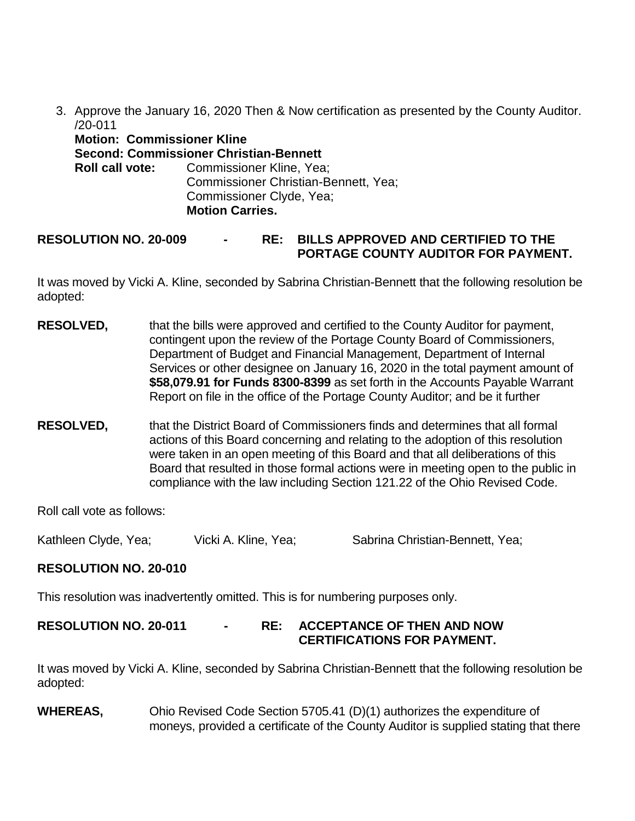3. Approve the January 16, 2020 Then & Now certification as presented by the County Auditor. /20-011

| <b>Motion: Commissioner Kline</b> |                                                                                                                                               |
|-----------------------------------|-----------------------------------------------------------------------------------------------------------------------------------------------|
|                                   | <b>Second: Commissioner Christian-Bennett</b>                                                                                                 |
|                                   | <b>Roll call vote:</b> Commissioner Kline, Yea;<br>Commissioner Christian-Bennett, Yea;<br>Commissioner Clyde, Yea;<br><b>Motion Carries.</b> |

# **RESOLUTION NO. 20-009 - RE: BILLS APPROVED AND CERTIFIED TO THE PORTAGE COUNTY AUDITOR FOR PAYMENT.**

It was moved by Vicki A. Kline, seconded by Sabrina Christian-Bennett that the following resolution be adopted:

- **RESOLVED,** that the bills were approved and certified to the County Auditor for payment, contingent upon the review of the Portage County Board of Commissioners, Department of Budget and Financial Management, Department of Internal Services or other designee on January 16, 2020 in the total payment amount of **\$58,079.91 for Funds 8300-8399** as set forth in the Accounts Payable Warrant Report on file in the office of the Portage County Auditor; and be it further
- **RESOLVED,** that the District Board of Commissioners finds and determines that all formal actions of this Board concerning and relating to the adoption of this resolution were taken in an open meeting of this Board and that all deliberations of this Board that resulted in those formal actions were in meeting open to the public in compliance with the law including Section 121.22 of the Ohio Revised Code.

Roll call vote as follows:

Kathleen Clyde, Yea; Vicki A. Kline, Yea; Sabrina Christian-Bennett, Yea;

## **RESOLUTION NO. 20-010**

This resolution was inadvertently omitted. This is for numbering purposes only.

## **RESOLUTION NO. 20-011 - RE: ACCEPTANCE OF THEN AND NOW CERTIFICATIONS FOR PAYMENT.**

It was moved by Vicki A. Kline, seconded by Sabrina Christian-Bennett that the following resolution be adopted:

**WHEREAS,** Ohio Revised Code Section 5705.41 (D)(1) authorizes the expenditure of moneys, provided a certificate of the County Auditor is supplied stating that there